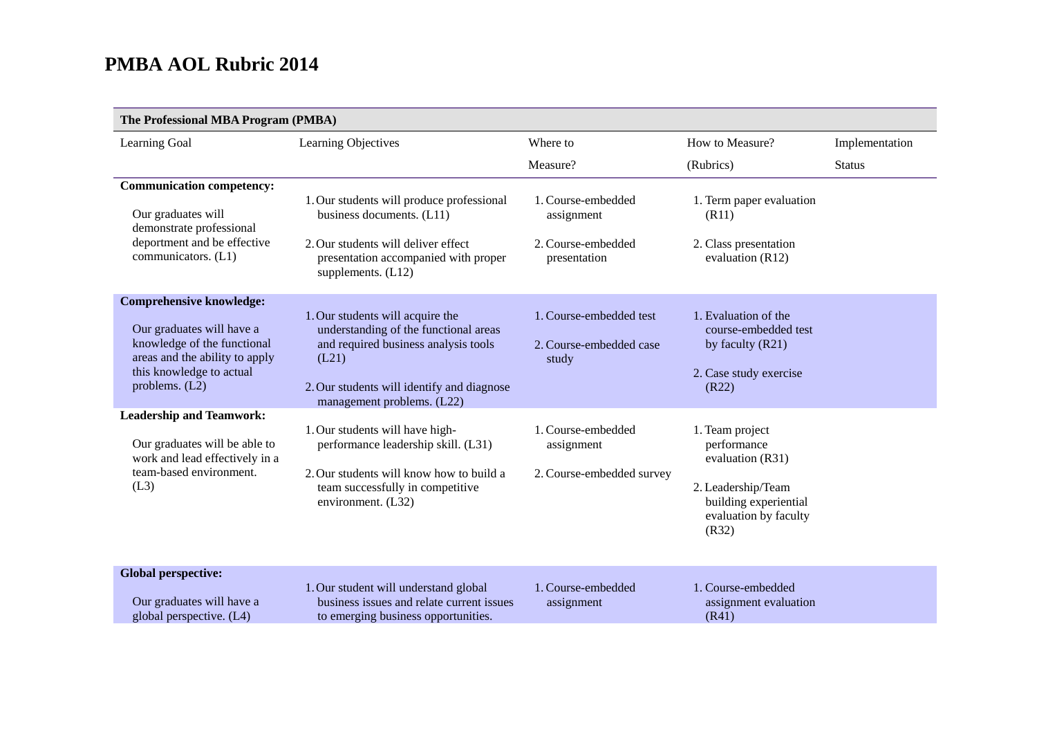$\sim$  100  $\mu$ 

| Learning Goal                                                                                                                                                                 | Learning Objectives                                                                                                                                                                                    | Where to                                                               | How to Measure?                                                                                                                     | Implementation |
|-------------------------------------------------------------------------------------------------------------------------------------------------------------------------------|--------------------------------------------------------------------------------------------------------------------------------------------------------------------------------------------------------|------------------------------------------------------------------------|-------------------------------------------------------------------------------------------------------------------------------------|----------------|
|                                                                                                                                                                               |                                                                                                                                                                                                        | Measure?                                                               | (Rubrics)                                                                                                                           | <b>Status</b>  |
| <b>Communication competency:</b><br>Our graduates will<br>demonstrate professional<br>deportment and be effective<br>communicators. (L1)                                      | 1. Our students will produce professional<br>business documents. (L11)<br>2. Our students will deliver effect<br>presentation accompanied with proper<br>supplements. $(L12)$                          | 1. Course-embedded<br>assignment<br>2. Course-embedded<br>presentation | 1. Term paper evaluation<br>(R11)<br>2. Class presentation<br>evaluation $(R12)$                                                    |                |
| <b>Comprehensive knowledge:</b><br>Our graduates will have a<br>knowledge of the functional<br>areas and the ability to apply<br>this knowledge to actual<br>problems. $(L2)$ | 1. Our students will acquire the<br>understanding of the functional areas<br>and required business analysis tools<br>(L21)<br>2. Our students will identify and diagnose<br>management problems. (L22) | 1. Course-embedded test<br>2. Course-embedded case<br>study            | 1. Evaluation of the<br>course-embedded test<br>by faculty (R21)<br>2. Case study exercise<br>(R22)                                 |                |
| <b>Leadership and Teamwork:</b><br>Our graduates will be able to<br>work and lead effectively in a<br>team-based environment.<br>(L3)                                         | 1. Our students will have high-<br>performance leadership skill. (L31)<br>2. Our students will know how to build a<br>team successfully in competitive<br>environment. (L32)                           | 1. Course-embedded<br>assignment<br>2. Course-embedded survey          | 1. Team project<br>performance<br>evaluation (R31)<br>2. Leadership/Team<br>building experiential<br>evaluation by faculty<br>(R32) |                |
| <b>Global perspective:</b><br>Our graduates will have a<br>global perspective. (L4)                                                                                           | 1. Our student will understand global<br>business issues and relate current issues<br>to emerging business opportunities.                                                                              | 1. Course-embedded<br>assignment                                       | 1. Course-embedded<br>assignment evaluation<br>(R41)                                                                                |                |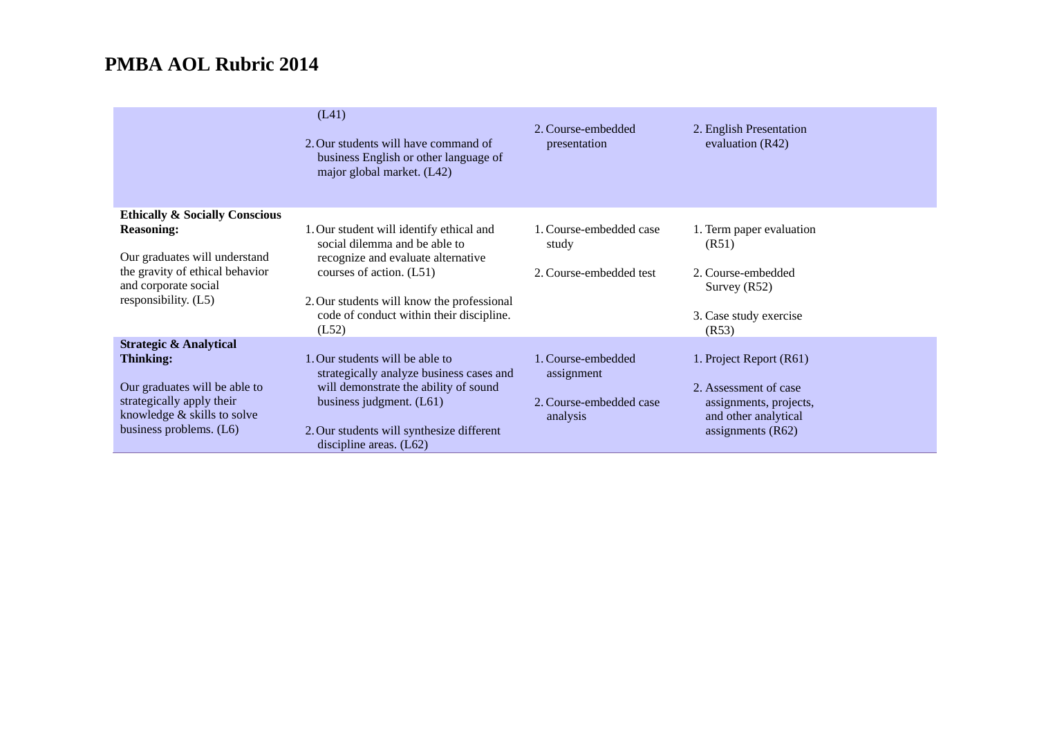|                                                                                          | (L41)<br>2. Our students will have command of<br>business English or other language of<br>major global market. (L42) | 2. Course-embedded<br>presentation  | 2. English Presentation<br>evaluation $(R42)$  |
|------------------------------------------------------------------------------------------|----------------------------------------------------------------------------------------------------------------------|-------------------------------------|------------------------------------------------|
| <b>Ethically &amp; Socially Conscious</b>                                                |                                                                                                                      |                                     |                                                |
| <b>Reasoning:</b>                                                                        | 1. Our student will identify ethical and<br>social dilemma and be able to                                            | 1. Course-embedded case<br>study    | 1. Term paper evaluation<br>(R51)              |
| Our graduates will understand<br>the gravity of ethical behavior<br>and corporate social | recognize and evaluate alternative<br>courses of action. (L51)                                                       | 2. Course-embedded test             | 2. Course-embedded<br>Survey (R52)             |
| responsibility. (L5)                                                                     | 2. Our students will know the professional<br>code of conduct within their discipline.<br>(L52)                      |                                     | 3. Case study exercise<br>(R53)                |
| <b>Strategic &amp; Analytical</b>                                                        |                                                                                                                      |                                     |                                                |
| <b>Thinking:</b>                                                                         | . Our students will be able to<br>strategically analyze business cases and                                           | 1. Course-embedded<br>assignment    | 1. Project Report (R61)                        |
| Our graduates will be able to                                                            | will demonstrate the ability of sound                                                                                |                                     | 2. Assessment of case                          |
| strategically apply their<br>knowledge & skills to solve                                 | business judgment. $(L61)$                                                                                           | 2. Course-embedded case<br>analysis | assignments, projects,<br>and other analytical |
| business problems. (L6)                                                                  | 2. Our students will synthesize different<br>discipline areas. $(L62)$                                               |                                     | assignments $(R62)$                            |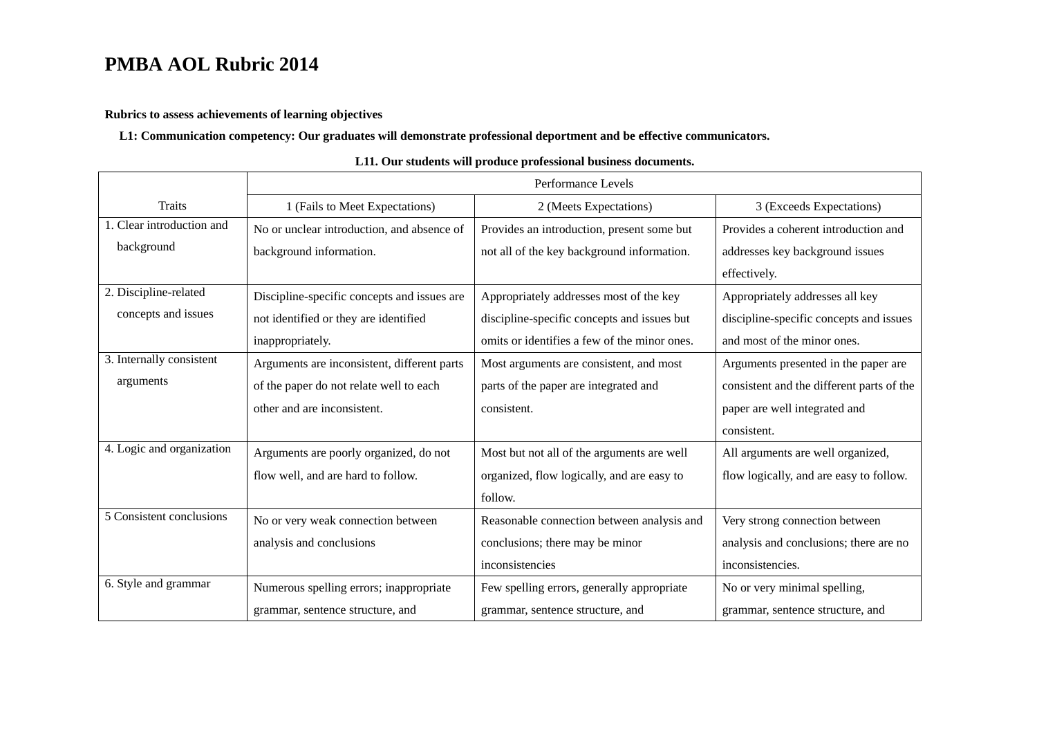#### **Rubrics to assess achievements of learning objectives**

### **L1: Communication competency: Our graduates will demonstrate professional deportment and be effective communicators.**

|                           | Performance Levels                          |                                              |                                           |
|---------------------------|---------------------------------------------|----------------------------------------------|-------------------------------------------|
| <b>Traits</b>             | 1 (Fails to Meet Expectations)              | 2 (Meets Expectations)                       | 3 (Exceeds Expectations)                  |
| 1. Clear introduction and | No or unclear introduction, and absence of  | Provides an introduction, present some but   | Provides a coherent introduction and      |
| background                | background information.                     | not all of the key background information.   | addresses key background issues           |
|                           |                                             |                                              | effectively.                              |
| 2. Discipline-related     | Discipline-specific concepts and issues are | Appropriately addresses most of the key      | Appropriately addresses all key           |
| concepts and issues       | not identified or they are identified       | discipline-specific concepts and issues but  | discipline-specific concepts and issues   |
|                           | inappropriately.                            | omits or identifies a few of the minor ones. | and most of the minor ones.               |
| 3. Internally consistent  | Arguments are inconsistent, different parts | Most arguments are consistent, and most      | Arguments presented in the paper are      |
| arguments                 | of the paper do not relate well to each     | parts of the paper are integrated and        | consistent and the different parts of the |
|                           | other and are inconsistent.                 | consistent.                                  | paper are well integrated and             |
|                           |                                             |                                              | consistent.                               |
| 4. Logic and organization | Arguments are poorly organized, do not      | Most but not all of the arguments are well   | All arguments are well organized,         |
|                           | flow well, and are hard to follow.          | organized, flow logically, and are easy to   | flow logically, and are easy to follow.   |
|                           |                                             | follow.                                      |                                           |
| 5 Consistent conclusions  | No or very weak connection between          | Reasonable connection between analysis and   | Very strong connection between            |
|                           | analysis and conclusions                    | conclusions; there may be minor              | analysis and conclusions; there are no    |
|                           |                                             | inconsistencies                              | inconsistencies.                          |
| 6. Style and grammar      | Numerous spelling errors; inappropriate     | Few spelling errors, generally appropriate   | No or very minimal spelling,              |
|                           | grammar, sentence structure, and            | grammar, sentence structure, and             | grammar, sentence structure, and          |

#### **L11. Our students will produce professional business documents.**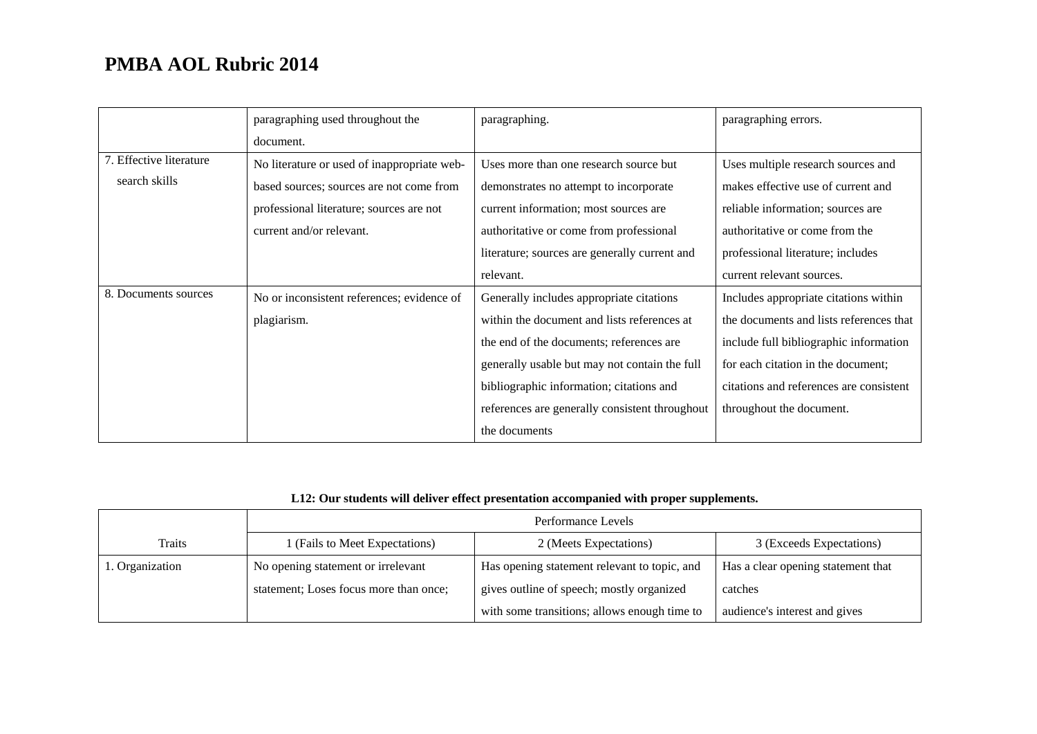|                         | paragraphing used throughout the            | paragraphing.                                  | paragraphing errors.                    |
|-------------------------|---------------------------------------------|------------------------------------------------|-----------------------------------------|
|                         | document.                                   |                                                |                                         |
| 7. Effective literature | No literature or used of inappropriate web- | Uses more than one research source but         | Uses multiple research sources and      |
| search skills           | based sources; sources are not come from    | demonstrates no attempt to incorporate         | makes effective use of current and      |
|                         | professional literature; sources are not    | current information; most sources are          | reliable information; sources are       |
|                         | current and/or relevant.                    | authoritative or come from professional        | authoritative or come from the          |
|                         |                                             | literature; sources are generally current and  | professional literature; includes       |
|                         |                                             | relevant.                                      | current relevant sources.               |
| 8. Documents sources    | No or inconsistent references; evidence of  | Generally includes appropriate citations       | Includes appropriate citations within   |
|                         | plagiarism.                                 | within the document and lists references at    | the documents and lists references that |
|                         |                                             | the end of the documents; references are       | include full bibliographic information  |
|                         |                                             | generally usable but may not contain the full  | for each citation in the document;      |
|                         |                                             | bibliographic information; citations and       | citations and references are consistent |
|                         |                                             | references are generally consistent throughout | throughout the document.                |
|                         |                                             | the documents                                  |                                         |

### **L12: Our students will deliver effect presentation accompanied with proper supplements.**

|                 | Performance Levels                     |                                              |                                    |
|-----------------|----------------------------------------|----------------------------------------------|------------------------------------|
| <b>Traits</b>   | I (Fails to Meet Expectations)         | 2 (Meets Expectations)                       | 3 (Exceeds Expectations)           |
| 1. Organization | No opening statement or irrelevant     | Has opening statement relevant to topic, and | Has a clear opening statement that |
|                 | statement; Loses focus more than once; | gives outline of speech; mostly organized    | catches                            |
|                 |                                        | with some transitions; allows enough time to | audience's interest and gives      |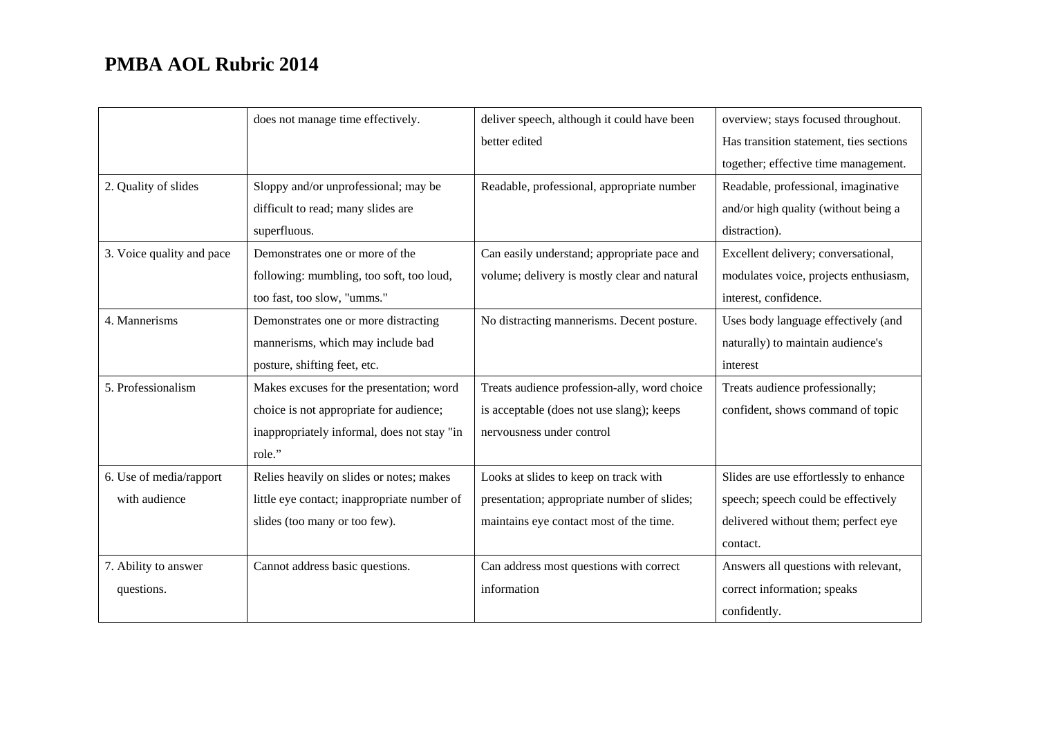|                           | does not manage time effectively.           | deliver speech, although it could have been  | overview; stays focused throughout.     |
|---------------------------|---------------------------------------------|----------------------------------------------|-----------------------------------------|
|                           |                                             | better edited                                | Has transition statement, ties sections |
|                           |                                             |                                              | together; effective time management.    |
| 2. Quality of slides      | Sloppy and/or unprofessional; may be        | Readable, professional, appropriate number   | Readable, professional, imaginative     |
|                           | difficult to read; many slides are          |                                              | and/or high quality (without being a    |
|                           | superfluous.                                |                                              | distraction).                           |
| 3. Voice quality and pace | Demonstrates one or more of the             | Can easily understand; appropriate pace and  | Excellent delivery; conversational,     |
|                           | following: mumbling, too soft, too loud,    | volume; delivery is mostly clear and natural | modulates voice, projects enthusiasm,   |
|                           | too fast, too slow, "umms."                 |                                              | interest, confidence.                   |
| 4. Mannerisms             | Demonstrates one or more distracting        | No distracting mannerisms. Decent posture.   | Uses body language effectively (and     |
|                           | mannerisms, which may include bad           |                                              | naturally) to maintain audience's       |
|                           | posture, shifting feet, etc.                |                                              | interest                                |
| 5. Professionalism        | Makes excuses for the presentation; word    | Treats audience profession-ally, word choice | Treats audience professionally;         |
|                           | choice is not appropriate for audience;     | is acceptable (does not use slang); keeps    | confident, shows command of topic       |
|                           | inappropriately informal, does not stay "in | nervousness under control                    |                                         |
|                           | role."                                      |                                              |                                         |
| 6. Use of media/rapport   | Relies heavily on slides or notes; makes    | Looks at slides to keep on track with        | Slides are use effortlessly to enhance  |
| with audience             | little eye contact; inappropriate number of | presentation; appropriate number of slides;  | speech; speech could be effectively     |
|                           | slides (too many or too few).               | maintains eye contact most of the time.      | delivered without them; perfect eye     |
|                           |                                             |                                              | contact.                                |
| 7. Ability to answer      | Cannot address basic questions.             | Can address most questions with correct      | Answers all questions with relevant,    |
| questions.                |                                             | information                                  | correct information; speaks             |
|                           |                                             |                                              | confidently.                            |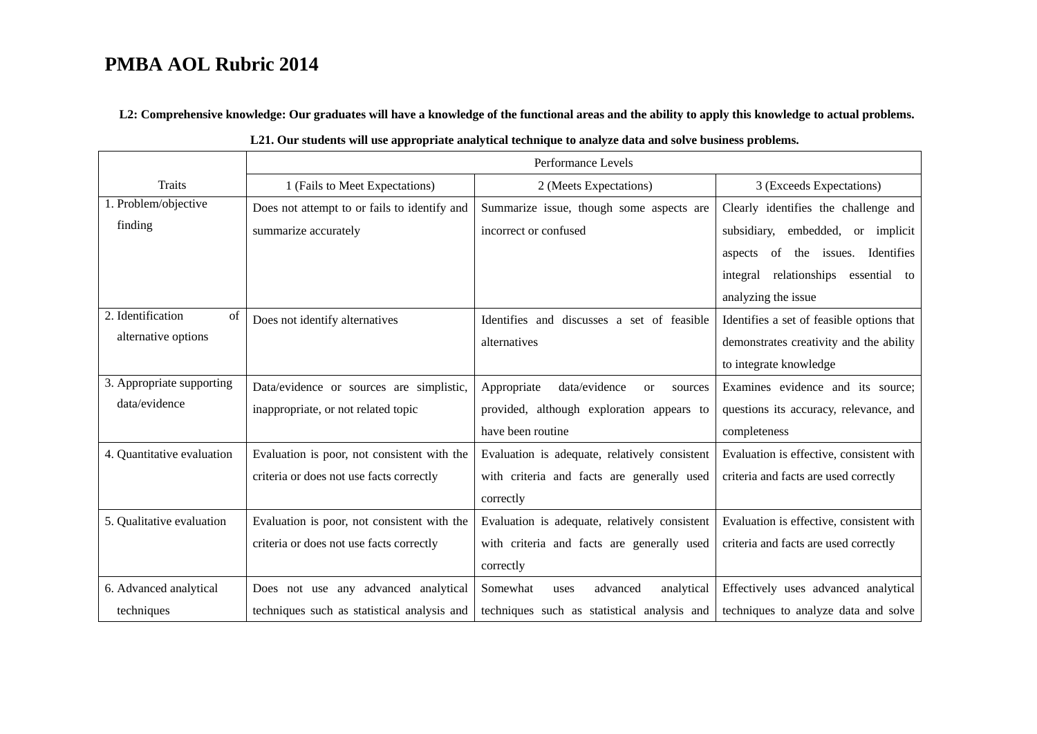**L2: Comprehensive knowledge: Our graduates will have a knowledge of the functional areas and the ability to apply this knowledge to actual problems.** 

|                            | Performance Levels                           |                                                      |                                           |
|----------------------------|----------------------------------------------|------------------------------------------------------|-------------------------------------------|
| <b>Traits</b>              | 1 (Fails to Meet Expectations)               | 2 (Meets Expectations)                               | 3 (Exceeds Expectations)                  |
| 1. Problem/objective       | Does not attempt to or fails to identify and | Summarize issue, though some aspects are             | Clearly identifies the challenge and      |
| finding                    | summarize accurately                         | incorrect or confused                                | subsidiary, embedded, or implicit         |
|                            |                                              |                                                      | aspects of the issues. Identifies         |
|                            |                                              |                                                      | integral relationships essential to       |
|                            |                                              |                                                      | analyzing the issue                       |
| 2. Identification<br>of    | Does not identify alternatives               | Identifies and discusses a set of feasible           | Identifies a set of feasible options that |
| alternative options        |                                              | alternatives                                         | demonstrates creativity and the ability   |
|                            |                                              |                                                      | to integrate knowledge                    |
| 3. Appropriate supporting  | Data/evidence or sources are simplistic,     | Appropriate<br>data/evidence<br><b>or</b><br>sources | Examines evidence and its source;         |
| data/evidence              | inappropriate, or not related topic          | provided, although exploration appears to            | questions its accuracy, relevance, and    |
|                            |                                              | have been routine                                    | completeness                              |
| 4. Quantitative evaluation | Evaluation is poor, not consistent with the  | Evaluation is adequate, relatively consistent        | Evaluation is effective, consistent with  |
|                            | criteria or does not use facts correctly     | with criteria and facts are generally used           | criteria and facts are used correctly     |
|                            |                                              | correctly                                            |                                           |
| 5. Qualitative evaluation  | Evaluation is poor, not consistent with the  | Evaluation is adequate, relatively consistent        | Evaluation is effective, consistent with  |
|                            | criteria or does not use facts correctly     | with criteria and facts are generally used           | criteria and facts are used correctly     |
|                            |                                              | correctly                                            |                                           |
| 6. Advanced analytical     | Does not use any advanced analytical         | Somewhat<br>advanced<br>analytical<br>uses           | Effectively uses advanced analytical      |
| techniques                 | techniques such as statistical analysis and  | techniques such as statistical analysis and          | techniques to analyze data and solve      |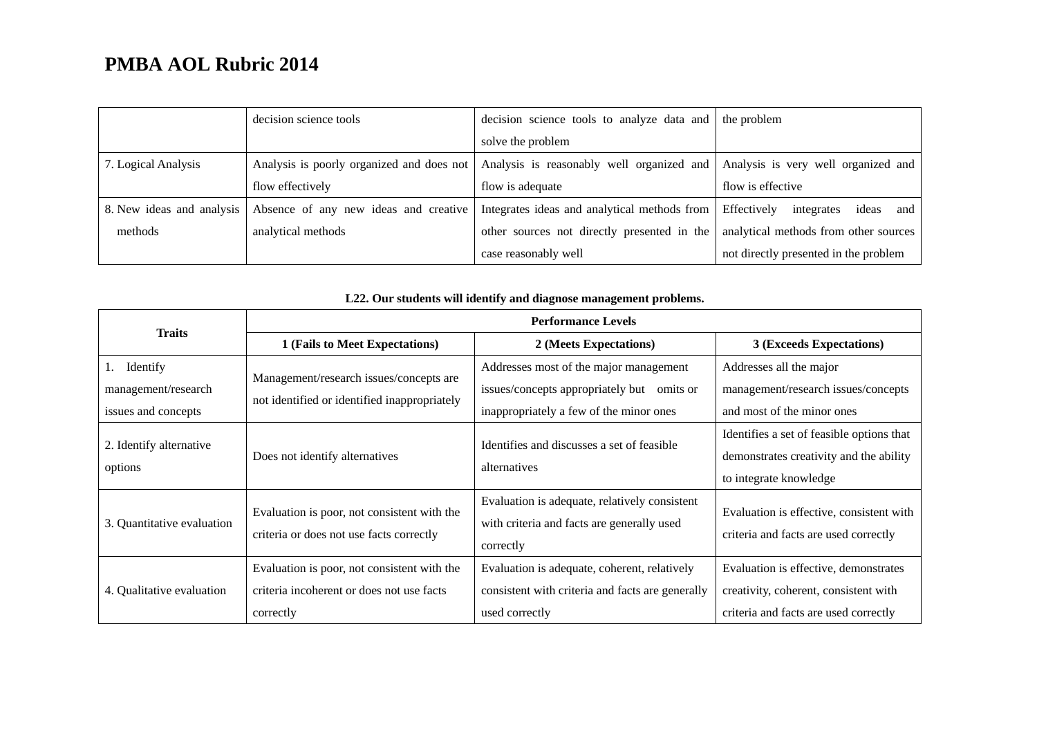|                           | decision science tools                    | decision science tools to analyze data and   | the problem                               |
|---------------------------|-------------------------------------------|----------------------------------------------|-------------------------------------------|
|                           |                                           | solve the problem                            |                                           |
| 7. Logical Analysis       | Analysis is poorly organized and does not | Analysis is reasonably well organized and    | Analysis is very well organized and       |
|                           | flow effectively                          | flow is adequate                             | flow is effective                         |
| 8. New ideas and analysis | Absence of any new ideas and creative     | Integrates ideas and analytical methods from | ideas<br>Effectively<br>integrates<br>and |
| methods                   | analytical methods                        | other sources not directly presented in the  | analytical methods from other sources     |
|                           |                                           | case reasonably well                         | not directly presented in the problem     |

| <b>Traits</b>                                          | <b>Performance Levels</b>                                                                             |                                                                                                                                    |                                                                                                                         |
|--------------------------------------------------------|-------------------------------------------------------------------------------------------------------|------------------------------------------------------------------------------------------------------------------------------------|-------------------------------------------------------------------------------------------------------------------------|
|                                                        | 1 (Fails to Meet Expectations)                                                                        | 2 (Meets Expectations)                                                                                                             | 3 (Exceeds Expectations)                                                                                                |
| Identify<br>management/research<br>issues and concepts | Management/research issues/concepts are<br>not identified or identified inappropriately               | Addresses most of the major management<br>issues/concepts appropriately but<br>omits or<br>inappropriately a few of the minor ones | Addresses all the major<br>management/research issues/concepts<br>and most of the minor ones                            |
| 2. Identify alternative<br>options                     | Does not identify alternatives                                                                        | Identifies and discusses a set of feasible<br>alternatives                                                                         | Identifies a set of feasible options that<br>demonstrates creativity and the ability<br>to integrate knowledge          |
| 3. Quantitative evaluation                             | Evaluation is poor, not consistent with the<br>criteria or does not use facts correctly               | Evaluation is adequate, relatively consistent<br>with criteria and facts are generally used<br>correctly                           | Evaluation is effective, consistent with<br>criteria and facts are used correctly                                       |
| 4. Qualitative evaluation                              | Evaluation is poor, not consistent with the<br>criteria incoherent or does not use facts<br>correctly | Evaluation is adequate, coherent, relatively<br>consistent with criteria and facts are generally<br>used correctly                 | Evaluation is effective, demonstrates<br>creativity, coherent, consistent with<br>criteria and facts are used correctly |

### **L22. Our students will identify and diagnose management problems.**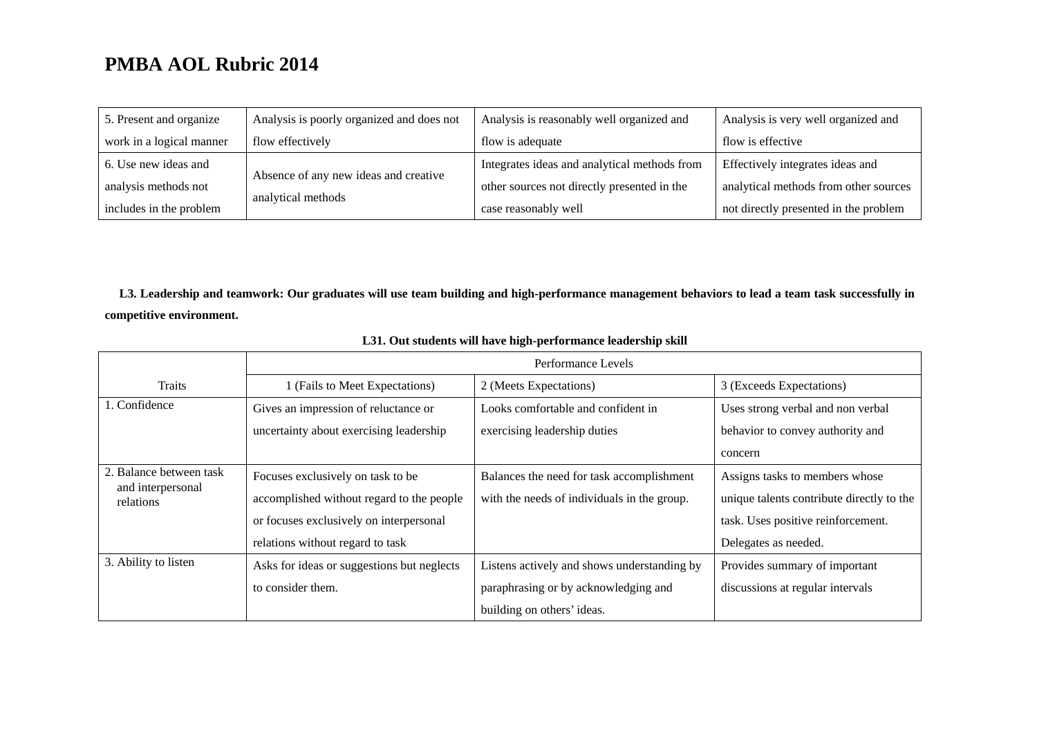| 5. Present and organize  | Analysis is poorly organized and does not | Analysis is reasonably well organized and    | Analysis is very well organized and   |
|--------------------------|-------------------------------------------|----------------------------------------------|---------------------------------------|
| work in a logical manner | flow effectively                          | flow is adequate                             | flow is effective                     |
| 6. Use new ideas and     |                                           | Integrates ideas and analytical methods from | Effectively integrates ideas and      |
| analysis methods not     | Absence of any new ideas and creative     | other sources not directly presented in the  | analytical methods from other sources |
| includes in the problem  | analytical methods                        | case reasonably well                         | not directly presented in the problem |

**L3. Leadership and teamwork: Our graduates will use team building and high-performance management behaviors to lead a team task successfully in competitive environment.** 

|                                | Performance Levels                         |                                             |                                           |
|--------------------------------|--------------------------------------------|---------------------------------------------|-------------------------------------------|
| Traits                         | 1 (Fails to Meet Expectations)             | 2 (Meets Expectations)                      | 3 (Exceeds Expectations)                  |
| 1. Confidence                  | Gives an impression of reluctance or       | Looks comfortable and confident in          | Uses strong verbal and non verbal         |
|                                | uncertainty about exercising leadership    | exercising leadership duties                | behavior to convey authority and          |
|                                |                                            |                                             | concern                                   |
| 2. Balance between task        | Focuses exclusively on task to be          | Balances the need for task accomplishment   | Assigns tasks to members whose            |
| and interpersonal<br>relations | accomplished without regard to the people  | with the needs of individuals in the group. | unique talents contribute directly to the |
|                                | or focuses exclusively on interpersonal    |                                             | task. Uses positive reinforcement.        |
|                                | relations without regard to task           |                                             | Delegates as needed.                      |
| 3. Ability to listen           | Asks for ideas or suggestions but neglects | Listens actively and shows understanding by | Provides summary of important             |
|                                | to consider them.                          | paraphrasing or by acknowledging and        | discussions at regular intervals          |
|                                |                                            | building on others' ideas.                  |                                           |

#### **L31. Out students will have high-performance leadership skill**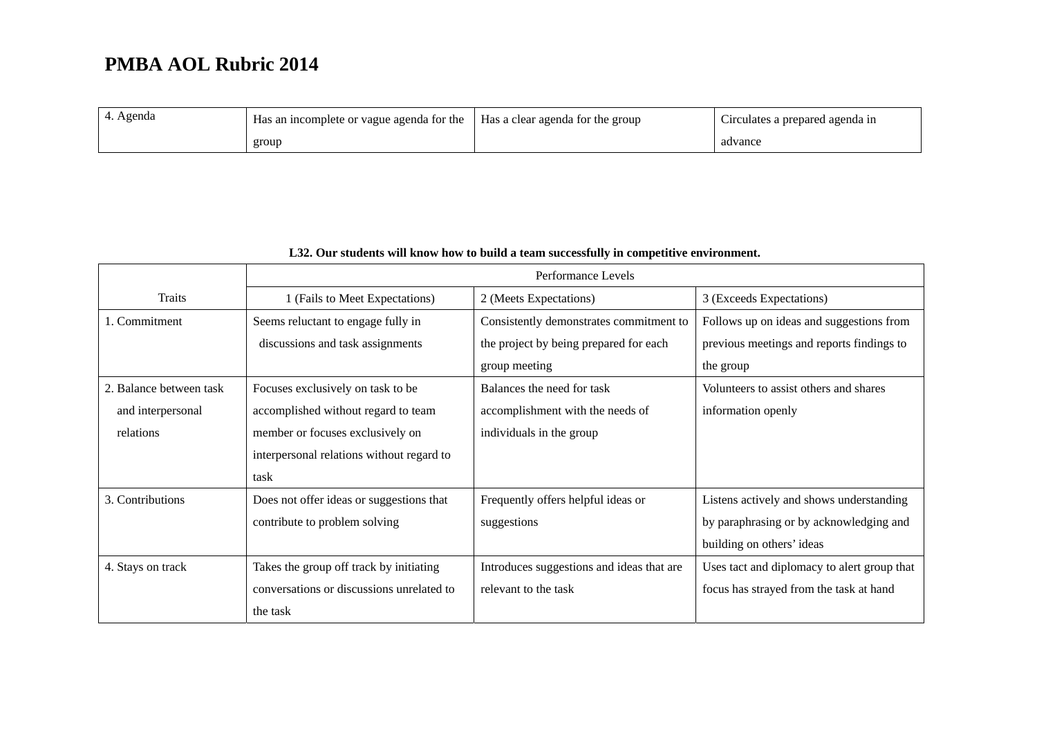| 4. Agenda | Has an incomplete or vague agenda for the | Has a clear agenda for the group | $\sim$<br>Circulates a prepared agenda in |
|-----------|-------------------------------------------|----------------------------------|-------------------------------------------|
|           | group                                     |                                  | advance                                   |

|                         |                                           | Performance Levels                        |                                             |
|-------------------------|-------------------------------------------|-------------------------------------------|---------------------------------------------|
| Traits                  | 1 (Fails to Meet Expectations)            | 2 (Meets Expectations)                    | 3 (Exceeds Expectations)                    |
| 1. Commitment           | Seems reluctant to engage fully in        | Consistently demonstrates commitment to   | Follows up on ideas and suggestions from    |
|                         | discussions and task assignments          | the project by being prepared for each    | previous meetings and reports findings to   |
|                         |                                           | group meeting                             | the group                                   |
| 2. Balance between task | Focuses exclusively on task to be         | Balances the need for task                | Volunteers to assist others and shares      |
| and interpersonal       | accomplished without regard to team       | accomplishment with the needs of          | information openly                          |
| relations               | member or focuses exclusively on          | individuals in the group                  |                                             |
|                         | interpersonal relations without regard to |                                           |                                             |
|                         | task                                      |                                           |                                             |
| 3. Contributions        | Does not offer ideas or suggestions that  | Frequently offers helpful ideas or        | Listens actively and shows understanding    |
|                         | contribute to problem solving             | suggestions                               | by paraphrasing or by acknowledging and     |
|                         |                                           |                                           | building on others' ideas                   |
| 4. Stays on track       | Takes the group off track by initiating   | Introduces suggestions and ideas that are | Uses tact and diplomacy to alert group that |
|                         | conversations or discussions unrelated to | relevant to the task                      | focus has strayed from the task at hand     |
|                         | the task                                  |                                           |                                             |

### **L32. Our students will know how to build a team successfully in competitive environment.**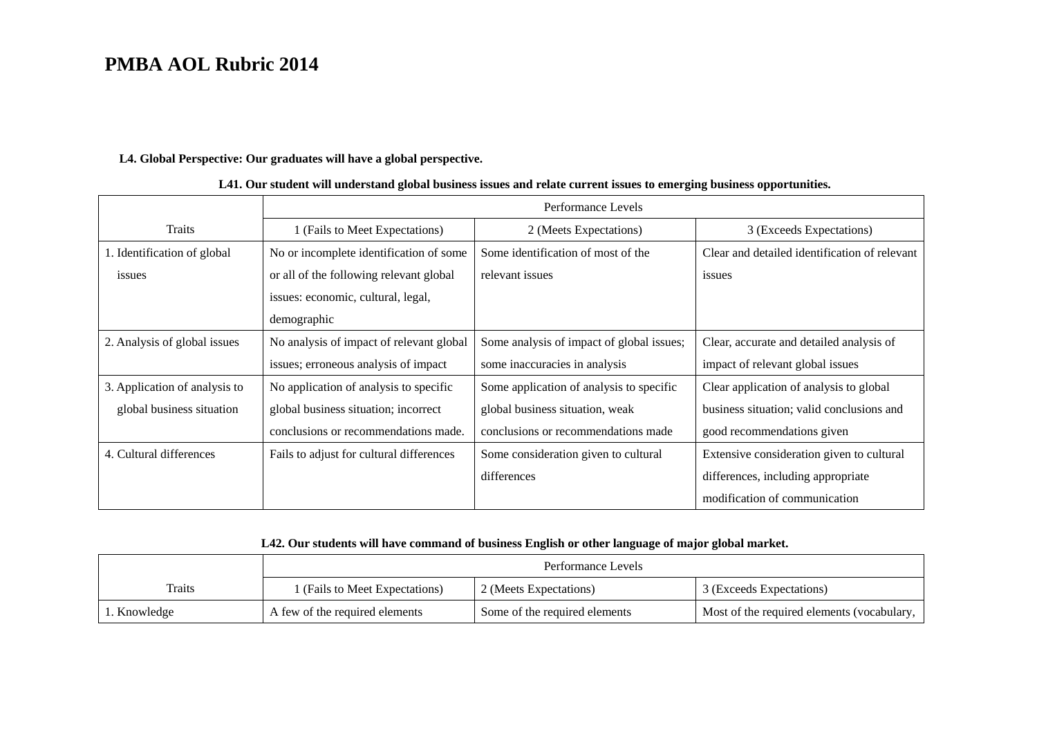#### **L4. Global Perspective: Our graduates will have a global perspective.**

|                               |                                          | Performance Levels                        |                                               |
|-------------------------------|------------------------------------------|-------------------------------------------|-----------------------------------------------|
| Traits                        | 1 (Fails to Meet Expectations)           | 2 (Meets Expectations)                    | 3 (Exceeds Expectations)                      |
| 1. Identification of global   | No or incomplete identification of some  | Some identification of most of the        | Clear and detailed identification of relevant |
| issues                        | or all of the following relevant global  | relevant issues                           | issues                                        |
|                               | issues: economic, cultural, legal,       |                                           |                                               |
|                               | demographic                              |                                           |                                               |
| 2. Analysis of global issues  | No analysis of impact of relevant global | Some analysis of impact of global issues; | Clear, accurate and detailed analysis of      |
|                               | issues; erroneous analysis of impact     | some inaccuracies in analysis             | impact of relevant global issues              |
| 3. Application of analysis to | No application of analysis to specific   | Some application of analysis to specific  | Clear application of analysis to global       |
| global business situation     | global business situation; incorrect     | global business situation, weak           | business situation; valid conclusions and     |
|                               | conclusions or recommendations made.     | conclusions or recommendations made       | good recommendations given                    |
| 4. Cultural differences       | Fails to adjust for cultural differences | Some consideration given to cultural      | Extensive consideration given to cultural     |
|                               |                                          | differences                               | differences, including appropriate            |
|                               |                                          |                                           | modification of communication                 |

#### **L41. Our student will understand global business issues and relate current issues to emerging business opportunities.**

### **L42. Our students will have command of business English or other language of major global market.**

|              | Performance Levels             |                               |                                              |  |
|--------------|--------------------------------|-------------------------------|----------------------------------------------|--|
| Traits       | 1 (Fails to Meet Expectations) | 2 (Meets Expectations)        | 3 (Exceeds Expectations)                     |  |
| 1. Knowledge | A few of the required elements | Some of the required elements | Most of the required elements (vocabulary, 1 |  |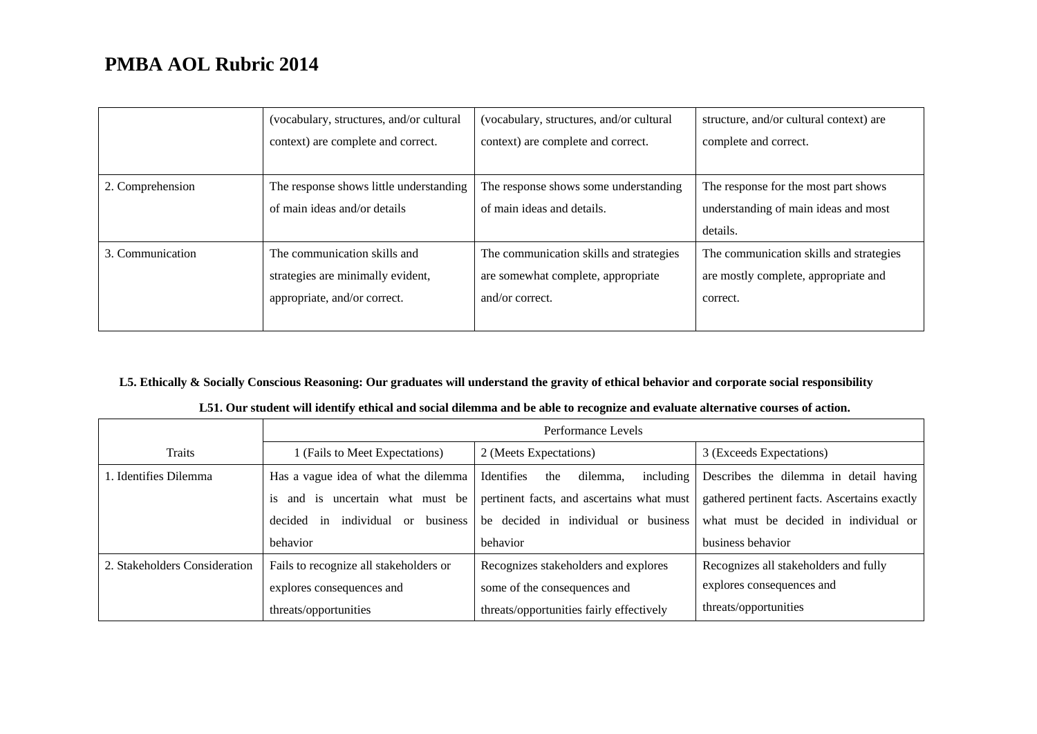|                  | (vocabulary, structures, and/or cultural | (vocabulary, structures, and/or cultural | structure, and/or cultural context) are |
|------------------|------------------------------------------|------------------------------------------|-----------------------------------------|
|                  | context) are complete and correct.       | context) are complete and correct.       | complete and correct.                   |
|                  |                                          |                                          |                                         |
| 2. Comprehension | The response shows little understanding  | The response shows some understanding    | The response for the most part shows    |
|                  | of main ideas and/or details             | of main ideas and details.               | understanding of main ideas and most    |
|                  |                                          |                                          | details.                                |
| 3. Communication | The communication skills and             | The communication skills and strategies  | The communication skills and strategies |
|                  | strategies are minimally evident,        | are somewhat complete, appropriate       | are mostly complete, appropriate and    |
|                  | appropriate, and/or correct.             | and/or correct.                          | correct.                                |
|                  |                                          |                                          |                                         |

### **L5. Ethically & Socially Conscious Reasoning: Our graduates will understand the gravity of ethical behavior and corporate social responsibility**

|                               |                                                     | Performance Levels                                                                        |                                        |  |  |  |
|-------------------------------|-----------------------------------------------------|-------------------------------------------------------------------------------------------|----------------------------------------|--|--|--|
| Traits                        | 1 (Fails to Meet Expectations)                      | 2 (Meets Expectations)                                                                    | 3 (Exceeds Expectations)               |  |  |  |
| 1. Identifies Dilemma         | Has a vague idea of what the dilemma                | Identifies<br>dilemma,<br>including<br>the                                                | Describes the dilemma in detail having |  |  |  |
|                               | is and is uncertain what must be                    | pertinent facts, and ascertains what must<br>gathered pertinent facts. Ascertains exactly |                                        |  |  |  |
|                               | business<br>individual<br>decided<br>$\alpha$<br>in | be decided in individual or business                                                      | what must be decided in individual or  |  |  |  |
|                               | behavior                                            | behavior                                                                                  | business behavior                      |  |  |  |
| 2. Stakeholders Consideration | Fails to recognize all stakeholders or              | Recognizes stakeholders and explores                                                      | Recognizes all stakeholders and fully  |  |  |  |
|                               | explores consequences and                           | some of the consequences and                                                              | explores consequences and              |  |  |  |
|                               | threats/opportunities                               | threats/opportunities fairly effectively                                                  | threats/opportunities                  |  |  |  |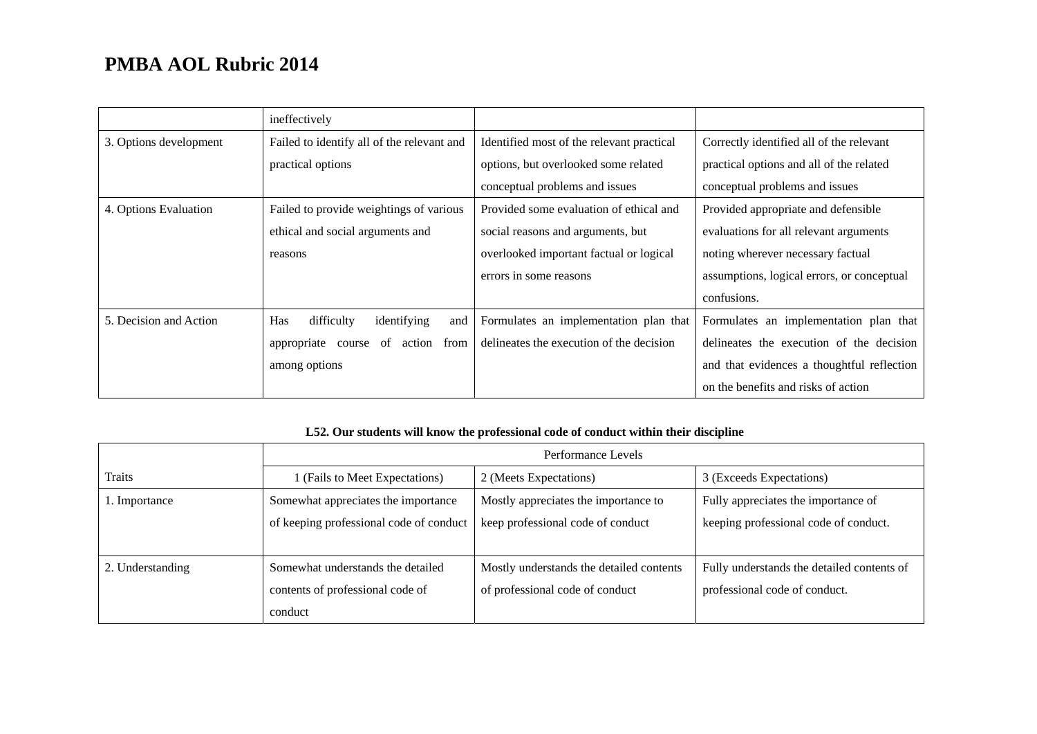|                        | ineffectively                                  |                                           |                                            |
|------------------------|------------------------------------------------|-------------------------------------------|--------------------------------------------|
| 3. Options development | Failed to identify all of the relevant and     | Identified most of the relevant practical | Correctly identified all of the relevant   |
|                        | practical options                              | options, but overlooked some related      | practical options and all of the related   |
|                        |                                                | conceptual problems and issues            | conceptual problems and issues             |
| 4. Options Evaluation  | Failed to provide weightings of various        | Provided some evaluation of ethical and   | Provided appropriate and defensible        |
|                        | ethical and social arguments and               | social reasons and arguments, but         | evaluations for all relevant arguments     |
|                        | reasons                                        | overlooked important factual or logical   | noting wherever necessary factual          |
|                        |                                                | errors in some reasons                    | assumptions, logical errors, or conceptual |
|                        |                                                |                                           | confusions.                                |
| 5. Decision and Action | difficulty<br><b>Has</b><br>identifying<br>and | Formulates an implementation plan that    | Formulates an implementation plan that     |
|                        | of<br>from<br>appropriate<br>action<br>course  | delineates the execution of the decision  | delineates the execution of the decision   |
|                        | among options                                  |                                           | and that evidences a thoughtful reflection |
|                        |                                                |                                           | on the benefits and risks of action        |

### **L52. Our students will know the professional code of conduct within their discipline**

|                  | Performance Levels                      |                                          |                                            |  |
|------------------|-----------------------------------------|------------------------------------------|--------------------------------------------|--|
| <b>Traits</b>    | I (Fails to Meet Expectations)          | 2 (Meets Expectations)                   | 3 (Exceeds Expectations)                   |  |
| 1. Importance    | Somewhat appreciates the importance     | Mostly appreciates the importance to     | Fully appreciates the importance of        |  |
|                  | of keeping professional code of conduct | keep professional code of conduct        | keeping professional code of conduct.      |  |
|                  |                                         |                                          |                                            |  |
| 2. Understanding | Somewhat understands the detailed       | Mostly understands the detailed contents | Fully understands the detailed contents of |  |
|                  | contents of professional code of        | of professional code of conduct          | professional code of conduct.              |  |
|                  | conduct                                 |                                          |                                            |  |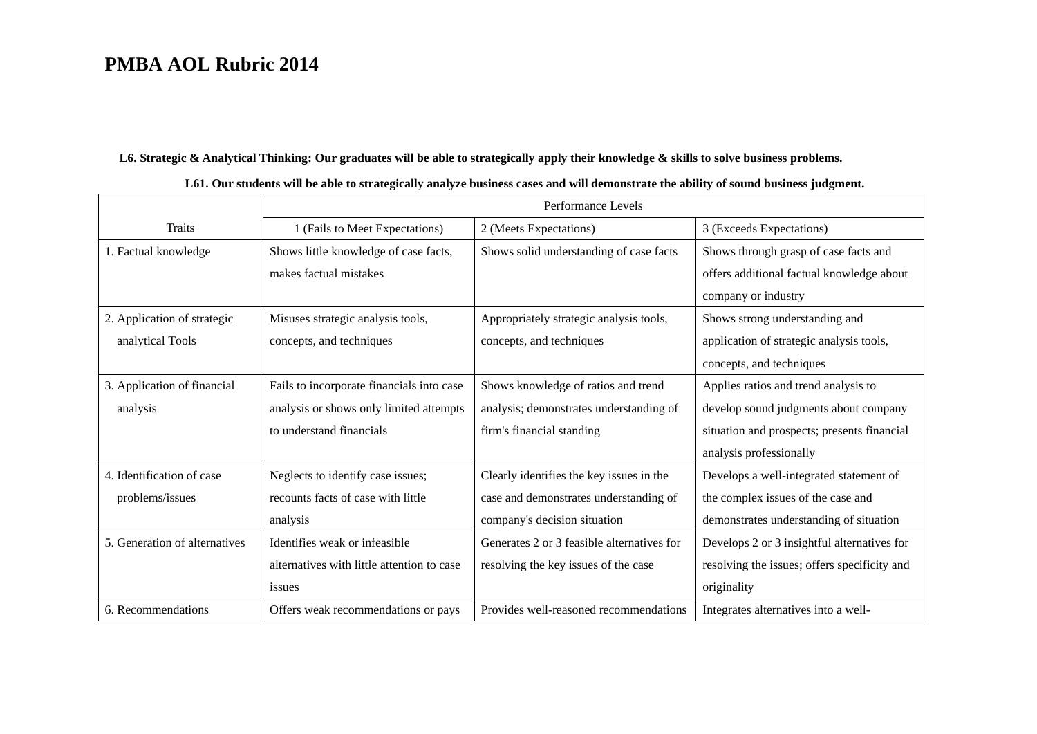#### **L6. Strategic & Analytical Thinking: Our graduates will be able to strategically apply their knowledge & skills to solve business problems.**

|                               |                                            | Performance Levels                         |                                              |
|-------------------------------|--------------------------------------------|--------------------------------------------|----------------------------------------------|
| <b>Traits</b>                 | 1 (Fails to Meet Expectations)             | 2 (Meets Expectations)                     | 3 (Exceeds Expectations)                     |
| 1. Factual knowledge          | Shows little knowledge of case facts,      | Shows solid understanding of case facts    | Shows through grasp of case facts and        |
|                               | makes factual mistakes                     |                                            | offers additional factual knowledge about    |
|                               |                                            |                                            | company or industry                          |
| 2. Application of strategic   | Misuses strategic analysis tools,          | Appropriately strategic analysis tools,    | Shows strong understanding and               |
| analytical Tools              | concepts, and techniques                   | concepts, and techniques                   | application of strategic analysis tools,     |
|                               |                                            |                                            | concepts, and techniques                     |
| 3. Application of financial   | Fails to incorporate financials into case  | Shows knowledge of ratios and trend        | Applies ratios and trend analysis to         |
| analysis                      | analysis or shows only limited attempts    | analysis; demonstrates understanding of    | develop sound judgments about company        |
|                               | to understand financials                   | firm's financial standing                  | situation and prospects; presents financial  |
|                               |                                            |                                            | analysis professionally                      |
| 4. Identification of case     | Neglects to identify case issues;          | Clearly identifies the key issues in the   | Develops a well-integrated statement of      |
| problems/issues               | recounts facts of case with little         | case and demonstrates understanding of     | the complex issues of the case and           |
|                               | analysis                                   | company's decision situation               | demonstrates understanding of situation      |
| 5. Generation of alternatives | Identifies weak or infeasible              | Generates 2 or 3 feasible alternatives for | Develops 2 or 3 insightful alternatives for  |
|                               | alternatives with little attention to case | resolving the key issues of the case       | resolving the issues; offers specificity and |
|                               | issues                                     |                                            | originality                                  |
| 6. Recommendations            | Offers weak recommendations or pays        | Provides well-reasoned recommendations     | Integrates alternatives into a well-         |

#### **L61. Our students will be able to strategically analyze business cases and will demonstrate the ability of sound business judgment.**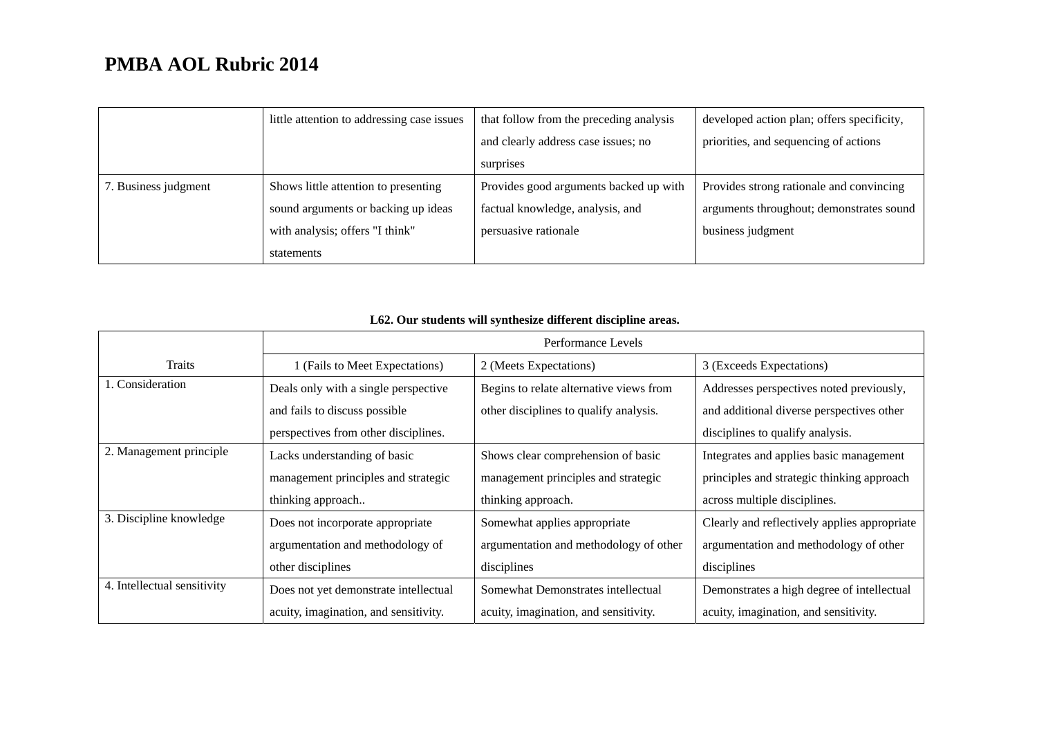|                      | little attention to addressing case issues | that follow from the preceding analysis | developed action plan; offers specificity, |
|----------------------|--------------------------------------------|-----------------------------------------|--------------------------------------------|
|                      |                                            | and clearly address case issues; no     | priorities, and sequencing of actions      |
|                      |                                            | surprises                               |                                            |
| 7. Business judgment | Shows little attention to presenting       | Provides good arguments backed up with  | Provides strong rationale and convincing   |
|                      | sound arguments or backing up ideas        | factual knowledge, analysis, and        | arguments throughout; demonstrates sound   |
|                      | with analysis; offers "I think"            | persuasive rationale                    | business judgment                          |
|                      | statements                                 |                                         |                                            |

|  |  |  | L62. Our students will synthesize different discipline areas. |  |
|--|--|--|---------------------------------------------------------------|--|
|  |  |  |                                                               |  |

|                             | Performance Levels                    |                                         |                                              |
|-----------------------------|---------------------------------------|-----------------------------------------|----------------------------------------------|
| Traits                      | 1 (Fails to Meet Expectations)        | 2 (Meets Expectations)                  | 3 (Exceeds Expectations)                     |
| 1. Consideration            | Deals only with a single perspective  | Begins to relate alternative views from | Addresses perspectives noted previously,     |
|                             | and fails to discuss possible         | other disciplines to qualify analysis.  | and additional diverse perspectives other    |
|                             | perspectives from other disciplines.  |                                         | disciplines to qualify analysis.             |
| 2. Management principle     | Lacks understanding of basic          | Shows clear comprehension of basic      | Integrates and applies basic management      |
|                             | management principles and strategic   | management principles and strategic     | principles and strategic thinking approach   |
|                             | thinking approach                     | thinking approach.                      | across multiple disciplines.                 |
| 3. Discipline knowledge     | Does not incorporate appropriate      | Somewhat applies appropriate            | Clearly and reflectively applies appropriate |
|                             | argumentation and methodology of      | argumentation and methodology of other  | argumentation and methodology of other       |
|                             | other disciplines                     | disciplines                             | disciplines                                  |
| 4. Intellectual sensitivity | Does not yet demonstrate intellectual | Somewhat Demonstrates intellectual      | Demonstrates a high degree of intellectual   |
|                             | acuity, imagination, and sensitivity. | acuity, imagination, and sensitivity.   | acuity, imagination, and sensitivity.        |